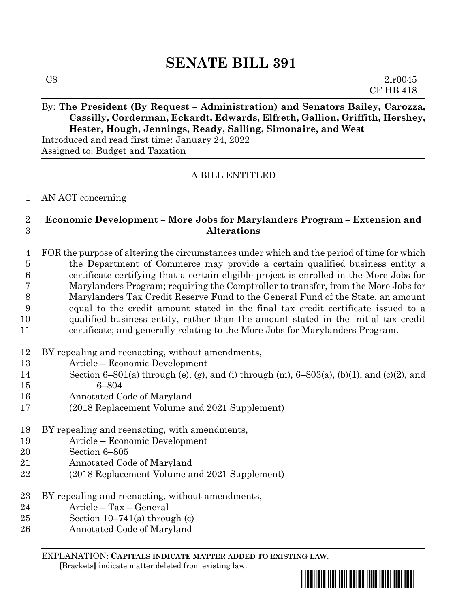## By: The President (By Request – Administration) and Senators Bailey, Carozza, **Cassilly, Corderman, Eckardt, Edwards, Elfreth, Gallion, Griffith, Hershey, Hester, Hough, Jennings, Ready, Salling, Simonaire, and West**

Introduced and read first time: January 24, 2022 Assigned to: Budget and Taxation

## A BILL ENTITLED

## AN ACT concerning

## **Economic Development – More Jobs for Marylanders Program – Extension and Alterations**

 FOR the purpose of altering the circumstances under which and the period of time for which the Department of Commerce may provide a certain qualified business entity a certificate certifying that a certain eligible project is enrolled in the More Jobs for Marylanders Program; requiring the Comptroller to transfer, from the More Jobs for Marylanders Tax Credit Reserve Fund to the General Fund of the State, an amount equal to the credit amount stated in the final tax credit certificate issued to a qualified business entity, rather than the amount stated in the initial tax credit certificate; and generally relating to the More Jobs for Marylanders Program.

- BY repealing and reenacting, without amendments,
- Article Economic Development
- Section 6–801(a) through (e), (g), and (i) through (m), 6–803(a), (b)(1), and (c)(2), and 6–804
- Annotated Code of Maryland
- (2018 Replacement Volume and 2021 Supplement)
- BY repealing and reenacting, with amendments,
- Article Economic Development
- Section 6–805
- Annotated Code of Maryland
- (2018 Replacement Volume and 2021 Supplement)
- BY repealing and reenacting, without amendments,
- Article Tax General
- 25 Section  $10-741(a)$  through (c)
- Annotated Code of Maryland

EXPLANATION: **CAPITALS INDICATE MATTER ADDED TO EXISTING LAW**.

 **[**Brackets**]** indicate matter deleted from existing law.

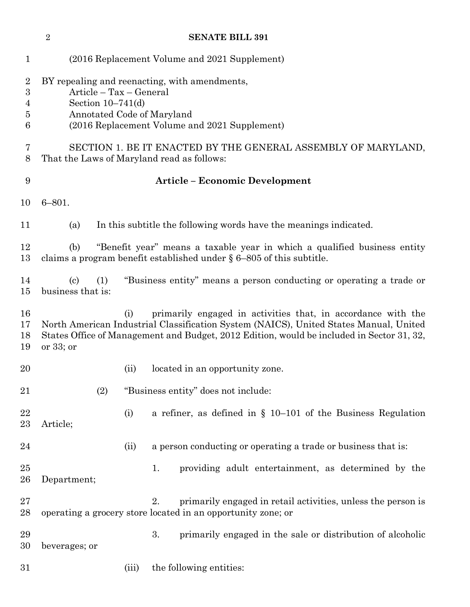|                                                        | $\sqrt{2}$                                                                                                                                                                                                                                                             |       | <b>SENATE BILL 391</b>                                                                                                                              |  |  |  |
|--------------------------------------------------------|------------------------------------------------------------------------------------------------------------------------------------------------------------------------------------------------------------------------------------------------------------------------|-------|-----------------------------------------------------------------------------------------------------------------------------------------------------|--|--|--|
| $\mathbf{1}$                                           |                                                                                                                                                                                                                                                                        |       | (2016 Replacement Volume and 2021 Supplement)                                                                                                       |  |  |  |
| $\overline{2}$<br>$\boldsymbol{3}$<br>4<br>5<br>6<br>7 | BY repealing and reenacting, with amendments,<br>Article - Tax - General<br>Section $10-741(d)$<br>Annotated Code of Maryland<br>(2016 Replacement Volume and 2021 Supplement)<br>SECTION 1. BE IT ENACTED BY THE GENERAL ASSEMBLY OF MARYLAND,                        |       |                                                                                                                                                     |  |  |  |
| 8                                                      | That the Laws of Maryland read as follows:                                                                                                                                                                                                                             |       |                                                                                                                                                     |  |  |  |
| 9                                                      | <b>Article - Economic Development</b>                                                                                                                                                                                                                                  |       |                                                                                                                                                     |  |  |  |
| 10                                                     | $6 - 801.$                                                                                                                                                                                                                                                             |       |                                                                                                                                                     |  |  |  |
| 11                                                     | (a)                                                                                                                                                                                                                                                                    |       | In this subtitle the following words have the meanings indicated.                                                                                   |  |  |  |
| 12<br>13                                               | (b)                                                                                                                                                                                                                                                                    |       | "Benefit year" means a taxable year in which a qualified business entity<br>claims a program benefit established under $\S 6-805$ of this subtitle. |  |  |  |
| 14<br>15                                               | $\left( \mathrm{c}\right)$<br>(1)<br>business that is:                                                                                                                                                                                                                 |       | "Business entity" means a person conducting or operating a trade or                                                                                 |  |  |  |
| 16<br>17<br>18<br>19                                   | primarily engaged in activities that, in accordance with the<br>(i)<br>North American Industrial Classification System (NAICS), United States Manual, United<br>States Office of Management and Budget, 2012 Edition, would be included in Sector 31, 32,<br>or 33; or |       |                                                                                                                                                     |  |  |  |
| 20                                                     |                                                                                                                                                                                                                                                                        | (ii)  | located in an opportunity zone.                                                                                                                     |  |  |  |
| 21                                                     | (2)                                                                                                                                                                                                                                                                    |       | "Business entity" does not include:                                                                                                                 |  |  |  |
| 22<br>23                                               | Article;                                                                                                                                                                                                                                                               | (i)   | a refiner, as defined in $\S$ 10–101 of the Business Regulation                                                                                     |  |  |  |
| 24                                                     |                                                                                                                                                                                                                                                                        | (ii)  | a person conducting or operating a trade or business that is:                                                                                       |  |  |  |
| 25<br>26                                               | Department;                                                                                                                                                                                                                                                            |       | providing adult entertainment, as determined by the<br>1.                                                                                           |  |  |  |
| $27\,$<br>28                                           |                                                                                                                                                                                                                                                                        |       | primarily engaged in retail activities, unless the person is<br>2.<br>operating a grocery store located in an opportunity zone; or                  |  |  |  |
| 29<br>30                                               | beverages; or                                                                                                                                                                                                                                                          |       | 3.<br>primarily engaged in the sale or distribution of alcoholic                                                                                    |  |  |  |
| 31                                                     |                                                                                                                                                                                                                                                                        | (iii) | the following entities:                                                                                                                             |  |  |  |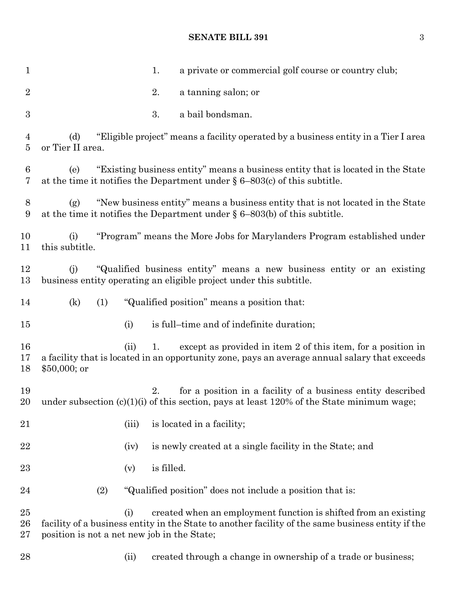| $\mathbf{1}$           | a private or commercial golf course or country club;<br>1.                                                                                                                                                                 |
|------------------------|----------------------------------------------------------------------------------------------------------------------------------------------------------------------------------------------------------------------------|
| $\overline{2}$         | 2.<br>a tanning salon; or                                                                                                                                                                                                  |
| $\boldsymbol{3}$       | 3.<br>a bail bondsman.                                                                                                                                                                                                     |
| 4<br>5                 | "Eligible project" means a facility operated by a business entity in a Tier I area<br>(d)<br>or Tier II area.                                                                                                              |
| 6<br>7                 | "Existing business entity" means a business entity that is located in the State<br>(e)<br>at the time it notifies the Department under $\S 6-803(c)$ of this subtitle.                                                     |
| 8<br>9                 | "New business entity" means a business entity that is not located in the State<br>(g)<br>at the time it notifies the Department under $\S 6-803(b)$ of this subtitle.                                                      |
| 10<br>11               | "Program" means the More Jobs for Marylanders Program established under<br>(i)<br>this subtitle.                                                                                                                           |
| 12<br>13               | "Qualified business entity" means a new business entity or an existing<br>(i)<br>business entity operating an eligible project under this subtitle.                                                                        |
| 14                     | "Qualified position" means a position that:<br>(k)<br>(1)                                                                                                                                                                  |
| $15\,$                 | is full-time and of indefinite duration;<br>(i)                                                                                                                                                                            |
| 16<br>17<br>18         | except as provided in item 2 of this item, for a position in<br>1.<br>(ii)<br>a facility that is located in an opportunity zone, pays an average annual salary that exceeds<br>$$50,000;$ or                               |
| 19<br>20               | for a position in a facility of a business entity described<br>2.<br>under subsection $(c)(1)(i)$ of this section, pays at least 120% of the State minimum wage;                                                           |
| 21                     | is located in a facility;<br>(iii)                                                                                                                                                                                         |
| 22                     | is newly created at a single facility in the State; and<br>(iv)                                                                                                                                                            |
| $^{23}$                | is filled.<br>(v)                                                                                                                                                                                                          |
| 24                     | (2)<br>"Qualified position" does not include a position that is:                                                                                                                                                           |
| $25\,$<br>26<br>$27\,$ | created when an employment function is shifted from an existing<br>(i)<br>facility of a business entity in the State to another facility of the same business entity if the<br>position is not a net new job in the State; |
| 28                     | created through a change in ownership of a trade or business;<br>(ii)                                                                                                                                                      |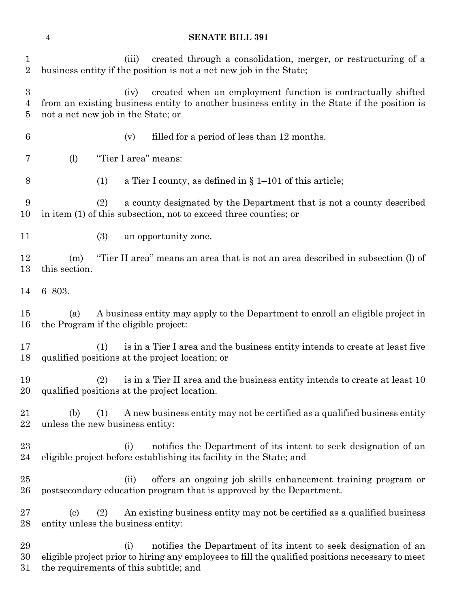| $\mathbf 1$<br>$\boldsymbol{2}$         | created through a consolidation, merger, or restructuring of a<br>(iii)<br>business entity if the position is not a net new job in the State;                                                                        |
|-----------------------------------------|----------------------------------------------------------------------------------------------------------------------------------------------------------------------------------------------------------------------|
| $\boldsymbol{3}$<br>4<br>$\overline{5}$ | created when an employment function is contractually shifted<br>(iv)<br>from an existing business entity to another business entity in the State if the position is<br>not a net new job in the State; or            |
| $\boldsymbol{6}$                        | filled for a period of less than 12 months.<br>(v)                                                                                                                                                                   |
| 7                                       | "Tier I area" means:<br>(1)                                                                                                                                                                                          |
| 8                                       | a Tier I county, as defined in $\S 1-101$ of this article;<br>(1)                                                                                                                                                    |
| 9<br>10                                 | a county designated by the Department that is not a county described<br>(2)<br>in item (1) of this subsection, not to exceed three counties; or                                                                      |
| 11                                      | (3)<br>an opportunity zone.                                                                                                                                                                                          |
| 12<br>13                                | "Tier II area" means an area that is not an area described in subsection (l) of<br>(m)<br>this section.                                                                                                              |
| 14                                      | $6 - 803.$                                                                                                                                                                                                           |
| 15<br>16                                | A business entity may apply to the Department to enroll an eligible project in<br>(a)<br>the Program if the eligible project:                                                                                        |
| 17<br>18                                | is in a Tier I area and the business entity intends to create at least five<br>(1)<br>qualified positions at the project location; or                                                                                |
| 19<br>20                                | is in a Tier II area and the business entity intends to create at least 10<br>(2)<br>qualified positions at the project location.                                                                                    |
| 21<br>22                                | A new business entity may not be certified as a qualified business entity<br>(1)<br>(b)<br>unless the new business entity:                                                                                           |
| 23<br>24                                | notifies the Department of its intent to seek designation of an<br>(i)<br>eligible project before establishing its facility in the State; and                                                                        |
| 25<br>26                                | offers an ongoing job skills enhancement training program or<br>(ii)<br>postsecondary education program that is approved by the Department.                                                                          |
| 27<br>28                                | An existing business entity may not be certified as a qualified business<br>$\left( \mathrm{c}\right)$<br>(2)<br>entity unless the business entity:                                                                  |
| 29<br>30<br>31                          | notifies the Department of its intent to seek designation of an<br>(i)<br>eligible project prior to hiring any employees to fill the qualified positions necessary to meet<br>the requirements of this subtitle; and |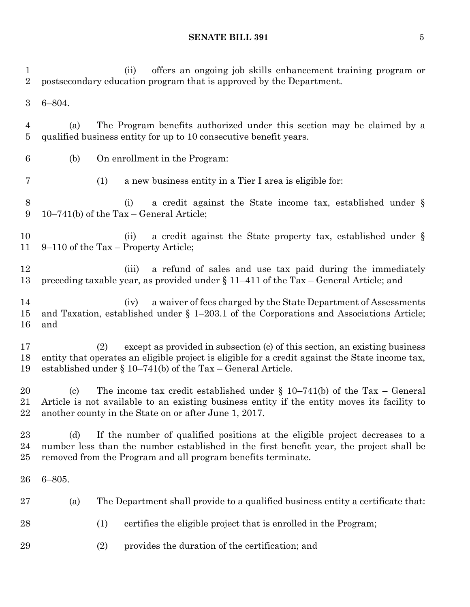(ii) offers an ongoing job skills enhancement training program or postsecondary education program that is approved by the Department. 6–804. (a) The Program benefits authorized under this section may be claimed by a qualified business entity for up to 10 consecutive benefit years. (b) On enrollment in the Program: (1) a new business entity in a Tier I area is eligible for: (i) a credit against the State income tax, established under § 10–741(b) of the Tax – General Article; (ii) a credit against the State property tax, established under § 9–110 of the Tax – Property Article; 12 (iii) a refund of sales and use tax paid during the immediately preceding taxable year, as provided under § 11–411 of the Tax – General Article; and (iv) a waiver of fees charged by the State Department of Assessments and Taxation, established under § 1–203.1 of the Corporations and Associations Article; and (2) except as provided in subsection (c) of this section, an existing business entity that operates an eligible project is eligible for a credit against the State income tax, established under § 10–741(b) of the Tax – General Article. 20 (c) The income tax credit established under  $\S$  10–741(b) of the Tax – General Article is not available to an existing business entity if the entity moves its facility to another county in the State on or after June 1, 2017. (d) If the number of qualified positions at the eligible project decreases to a number less than the number established in the first benefit year, the project shall be removed from the Program and all program benefits terminate. 6–805. (a) The Department shall provide to a qualified business entity a certificate that: (1) certifies the eligible project that is enrolled in the Program; (2) provides the duration of the certification; and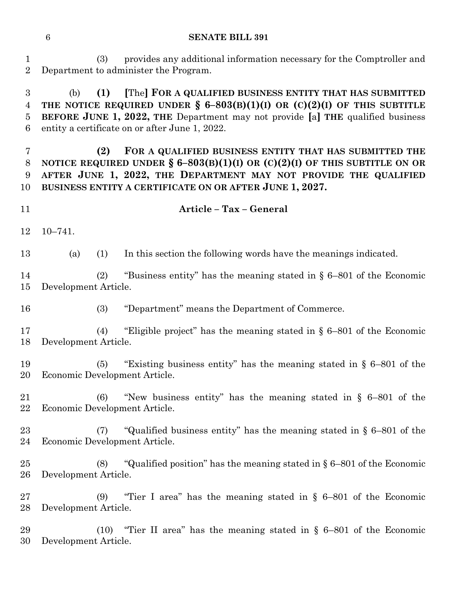(3) provides any additional information necessary for the Comptroller and Department to administer the Program.

 (b) **(1) [**The**] FOR A QUALIFIED BUSINESS ENTITY THAT HAS SUBMITTED THE NOTICE REQUIRED UNDER § 6–803(B)(1)(I) OR (C)(2)(I) OF THIS SUBTITLE BEFORE JUNE 1, 2022, THE** Department may not provide **[**a**] THE** qualified business entity a certificate on or after June 1, 2022.

 **(2) FOR A QUALIFIED BUSINESS ENTITY THAT HAS SUBMITTED THE NOTICE REQUIRED UNDER § 6–803(B)(1)(I) OR (C)(2)(I) OF THIS SUBTITLE ON OR AFTER JUNE 1, 2022, THE DEPARTMENT MAY NOT PROVIDE THE QUALIFIED BUSINESS ENTITY A CERTIFICATE ON OR AFTER JUNE 1, 2027.**

**Article – Tax – General**

10–741.

(a) (1) In this section the following words have the meanings indicated.

 (2) "Business entity" has the meaning stated in § 6–801 of the Economic Development Article.

(3) "Department" means the Department of Commerce.

 (4) "Eligible project" has the meaning stated in § 6–801 of the Economic Development Article.

 (5) "Existing business entity" has the meaning stated in § 6–801 of the Economic Development Article.

 (6) "New business entity" has the meaning stated in § 6–801 of the Economic Development Article.

 (7) "Qualified business entity" has the meaning stated in § 6–801 of the Economic Development Article.

 (8) "Qualified position" has the meaning stated in § 6–801 of the Economic Development Article.

 (9) "Tier I area" has the meaning stated in § 6–801 of the Economic Development Article.

 (10) "Tier II area" has the meaning stated in § 6–801 of the Economic Development Article.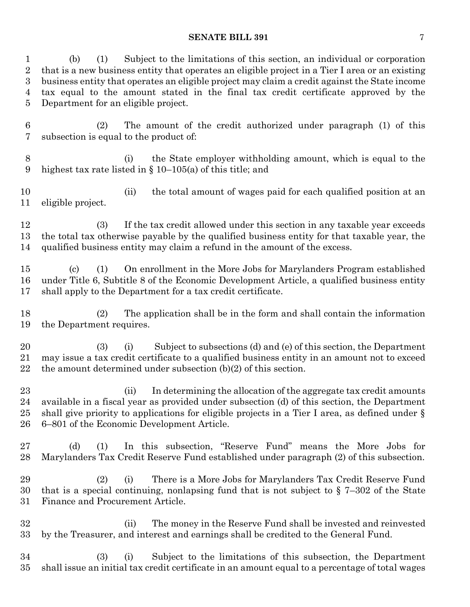| 1<br>$\overline{2}$<br>$\boldsymbol{3}$<br>4<br>5 | Subject to the limitations of this section, an individual or corporation<br>(b)<br>(1)<br>that is a new business entity that operates an eligible project in a Tier I area or an existing<br>business entity that operates an eligible project may claim a credit against the State income<br>tax equal to the amount stated in the final tax credit certificate approved by the<br>Department for an eligible project. |
|---------------------------------------------------|-------------------------------------------------------------------------------------------------------------------------------------------------------------------------------------------------------------------------------------------------------------------------------------------------------------------------------------------------------------------------------------------------------------------------|
| $\,6\,$<br>7                                      | The amount of the credit authorized under paragraph (1) of this<br>(2)<br>subsection is equal to the product of:                                                                                                                                                                                                                                                                                                        |
| $8\,$<br>9                                        | the State employer with holding amount, which is equal to the<br>(i)<br>highest tax rate listed in $\S$ 10–105(a) of this title; and                                                                                                                                                                                                                                                                                    |
| 10<br>11                                          | the total amount of wages paid for each qualified position at an<br>(ii)<br>eligible project.                                                                                                                                                                                                                                                                                                                           |
| 12<br>13<br>14                                    | If the tax credit allowed under this section in any taxable year exceeds<br><b>(3)</b><br>the total tax otherwise payable by the qualified business entity for that taxable year, the<br>qualified business entity may claim a refund in the amount of the excess.                                                                                                                                                      |
| 15<br>16<br>17                                    | On enrollment in the More Jobs for Marylanders Program established<br>$\left( \text{c} \right)$<br>(1)<br>under Title 6, Subtitle 8 of the Economic Development Article, a qualified business entity<br>shall apply to the Department for a tax credit certificate.                                                                                                                                                     |
| 18<br>19                                          | The application shall be in the form and shall contain the information<br>(2)<br>the Department requires.                                                                                                                                                                                                                                                                                                               |
| 20<br>21<br>22                                    | Subject to subsections (d) and (e) of this section, the Department<br>(3)<br>(i)<br>may issue a tax credit certificate to a qualified business entity in an amount not to exceed<br>the amount determined under subsection $(b)(2)$ of this section.                                                                                                                                                                    |
| 23<br>24<br>25<br>26                              | In determining the allocation of the aggregate tax credit amounts<br>(ii)<br>available in a fiscal year as provided under subsection (d) of this section, the Department<br>shall give priority to applications for eligible projects in a Tier I area, as defined under $\S$<br>6–801 of the Economic Development Article.                                                                                             |
| 27<br>28                                          | (d)<br>In this subsection, "Reserve Fund" means the More Jobs for<br>(1)<br>Marylanders Tax Credit Reserve Fund established under paragraph (2) of this subsection.                                                                                                                                                                                                                                                     |
| 29<br>30<br>31                                    | There is a More Jobs for Marylanders Tax Credit Reserve Fund<br>(2)<br>(i)<br>that is a special continuing, nonlapsing fund that is not subject to $\S 7-302$ of the State<br>Finance and Procurement Article.                                                                                                                                                                                                          |
| 32<br>33                                          | The money in the Reserve Fund shall be invested and reinvested<br>(i)<br>by the Treasurer, and interest and earnings shall be credited to the General Fund.                                                                                                                                                                                                                                                             |
| 34<br>35                                          | Subject to the limitations of this subsection, the Department<br>(3)<br>(i)<br>shall issue an initial tax credit certificate in an amount equal to a percentage of total wages                                                                                                                                                                                                                                          |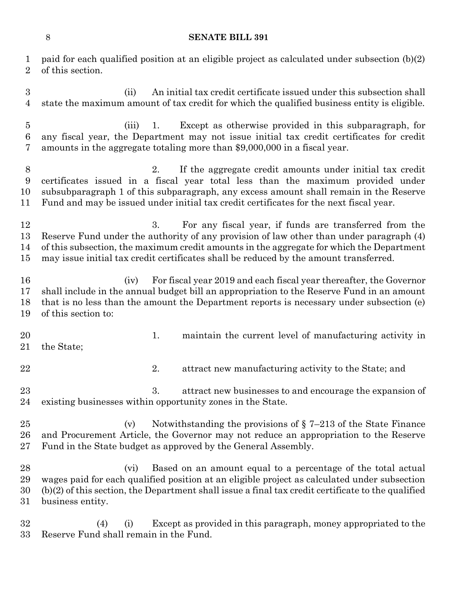paid for each qualified position at an eligible project as calculated under subsection (b)(2) of this section.

 (ii) An initial tax credit certificate issued under this subsection shall state the maximum amount of tax credit for which the qualified business entity is eligible.

 (iii) 1. Except as otherwise provided in this subparagraph, for any fiscal year, the Department may not issue initial tax credit certificates for credit amounts in the aggregate totaling more than \$9,000,000 in a fiscal year.

 2. If the aggregate credit amounts under initial tax credit certificates issued in a fiscal year total less than the maximum provided under subsubparagraph 1 of this subparagraph, any excess amount shall remain in the Reserve Fund and may be issued under initial tax credit certificates for the next fiscal year.

12 3. For any fiscal year, if funds are transferred from the Reserve Fund under the authority of any provision of law other than under paragraph (4) of this subsection, the maximum credit amounts in the aggregate for which the Department may issue initial tax credit certificates shall be reduced by the amount transferred.

 (iv) For fiscal year 2019 and each fiscal year thereafter, the Governor shall include in the annual budget bill an appropriation to the Reserve Fund in an amount that is no less than the amount the Department reports is necessary under subsection (e) of this section to:

- 20 1. maintain the current level of manufacturing activity in the State;
- 
- 22 2. attract new manufacturing activity to the State; and

23 3. attract new businesses to and encourage the expansion of existing businesses within opportunity zones in the State.

25 (v) Notwithstanding the provisions of  $\S 7-213$  of the State Finance and Procurement Article, the Governor may not reduce an appropriation to the Reserve Fund in the State budget as approved by the General Assembly.

 (vi) Based on an amount equal to a percentage of the total actual wages paid for each qualified position at an eligible project as calculated under subsection (b)(2) of this section, the Department shall issue a final tax credit certificate to the qualified business entity.

 (4) (i) Except as provided in this paragraph, money appropriated to the Reserve Fund shall remain in the Fund.